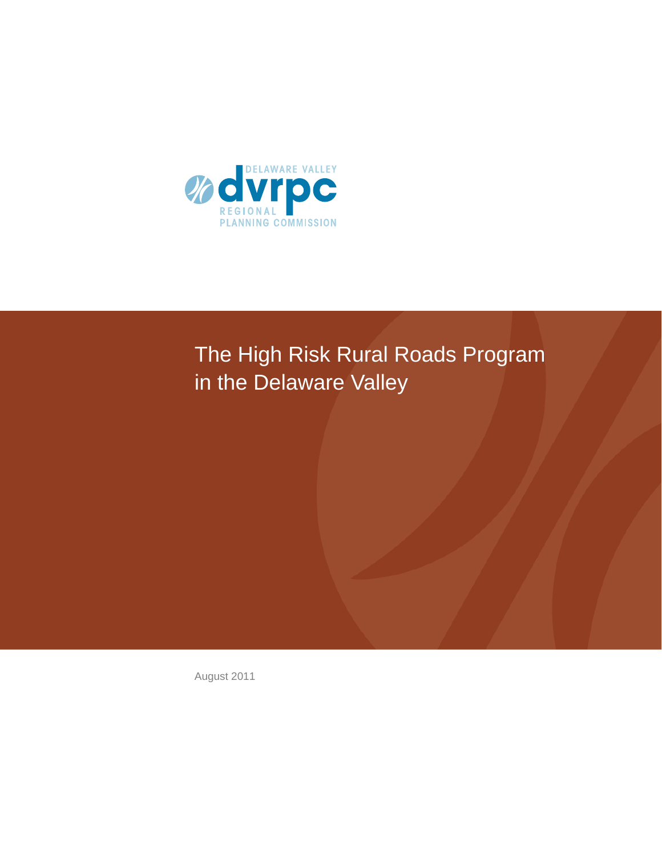

# The High Risk Rural Roads Program in the Delaware Valley

August 2011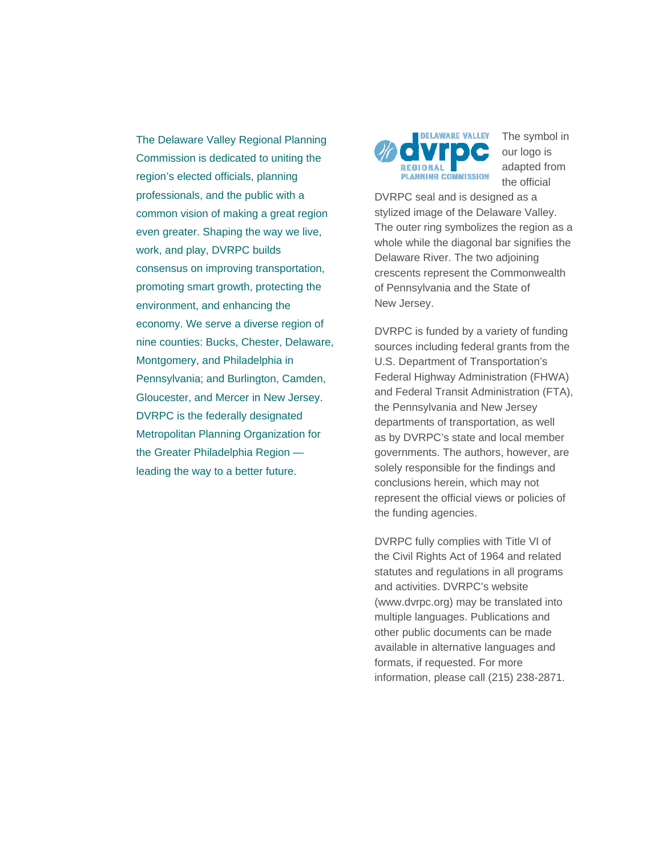The Delaware Valley Regional Planning Commission is dedicated to uniting the region's elected officials, planning professionals, and the public with a common vision of making a great region even greater. Shaping the way we live, work, and play, DVRPC builds consensus on improving transportation, promoting smart growth, protecting the environment, and enhancing the economy. We serve a diverse region of nine counties: Bucks, Chester, Delaware, Montgomery, and Philadelphia in Pennsylvania; and Burlington, Camden, Gloucester, and Mercer in New Jersey. DVRPC is the federally designated Metropolitan Planning Organization for the Greater Philadelphia Region leading the way to a better future.



The symbol in our logo is adapted from the official

DVRPC seal and is designed as a stylized image of the Delaware Valley. The outer ring symbolizes the region as a whole while the diagonal bar signifies the Delaware River. The two adjoining crescents represent the Commonwealth of Pennsylvania and the State of New Jersey.

DVRPC is funded by a variety of funding sources including federal grants from the U.S. Department of Transportation's Federal Highway Administration (FHWA) and Federal Transit Administration (FTA), the Pennsylvania and New Jersey departments of transportation, as well as by DVRPC's state and local member governments. The authors, however, are solely responsible for the findings and conclusions herein, which may not represent the official views or policies of the funding agencies.

DVRPC fully complies with Title VI of the Civil Rights Act of 1964 and related statutes and regulations in all programs and activities. DVRPC's website (www.dvrpc.org) may be translated into multiple languages. Publications and other public documents can be made available in alternative languages and formats, if requested. For more information, please call (215) 238-2871.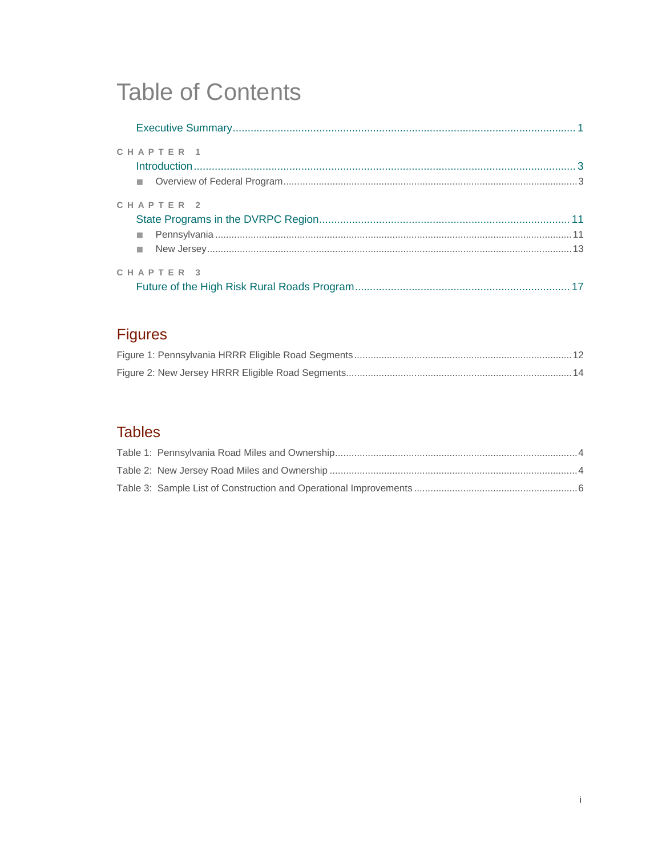# **Table of Contents**

| CHAPTER 1 |  |
|-----------|--|
|           |  |
|           |  |
| CHAPTER 2 |  |
|           |  |
|           |  |
|           |  |
| CHAPTER 3 |  |
|           |  |

## Figures

### **Tables**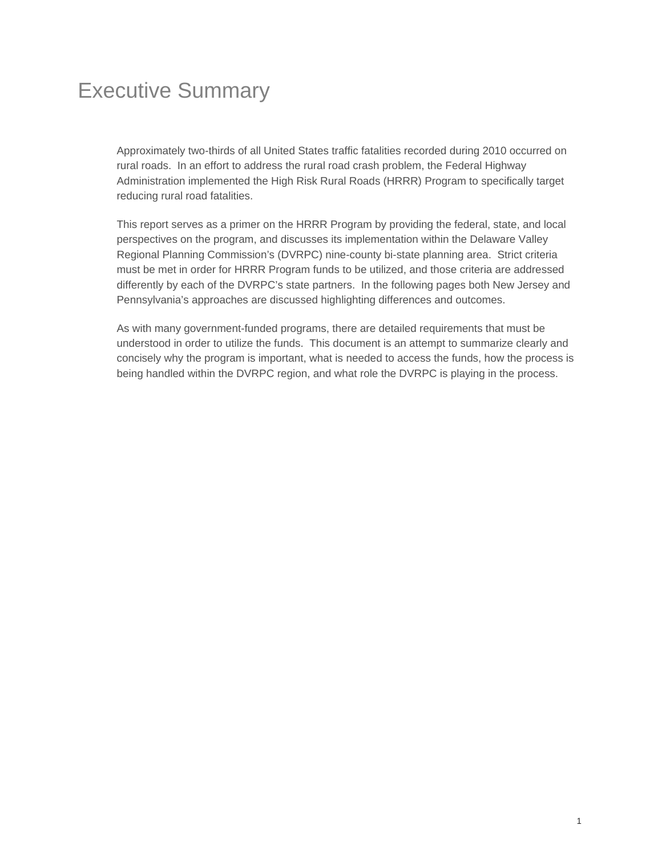## Executive Summary

Approximately two-thirds of all United States traffic fatalities recorded during 2010 occurred on rural roads. In an effort to address the rural road crash problem, the Federal Highway Administration implemented the High Risk Rural Roads (HRRR) Program to specifically target reducing rural road fatalities.

This report serves as a primer on the HRRR Program by providing the federal, state, and local perspectives on the program, and discusses its implementation within the Delaware Valley Regional Planning Commission's (DVRPC) nine-county bi-state planning area. Strict criteria must be met in order for HRRR Program funds to be utilized, and those criteria are addressed differently by each of the DVRPC's state partners. In the following pages both New Jersey and Pennsylvania's approaches are discussed highlighting differences and outcomes.

As with many government-funded programs, there are detailed requirements that must be understood in order to utilize the funds. This document is an attempt to summarize clearly and concisely why the program is important, what is needed to access the funds, how the process is being handled within the DVRPC region, and what role the DVRPC is playing in the process.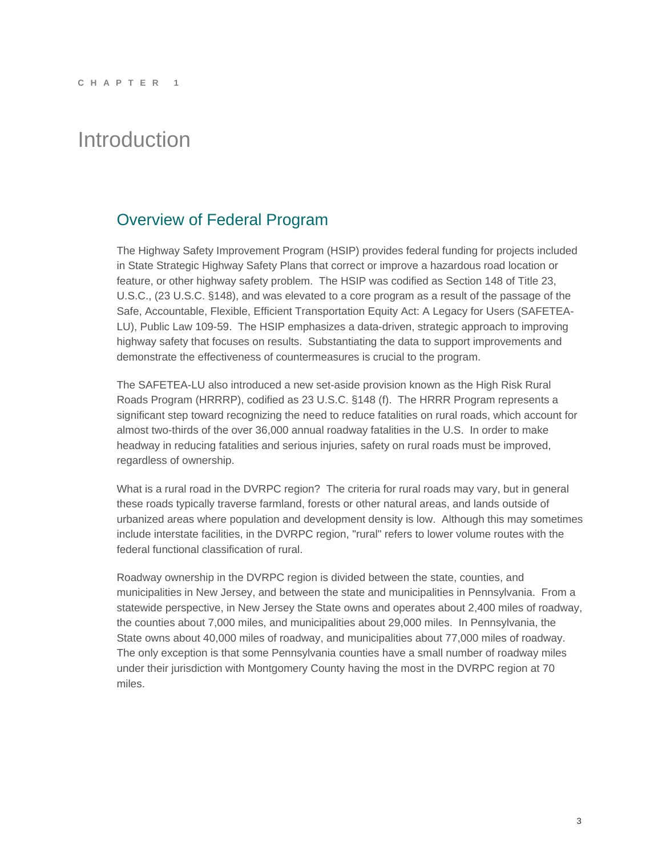### Introduction

### Overview of Federal Program

The Highway Safety Improvement Program (HSIP) provides federal funding for projects included in State Strategic Highway Safety Plans that correct or improve a hazardous road location or feature, or other highway safety problem. The HSIP was codified as Section 148 of Title 23, U.S.C., (23 U.S.C. §148), and was elevated to a core program as a result of the passage of the Safe, Accountable, Flexible, Efficient Transportation Equity Act: A Legacy for Users (SAFETEA-LU), Public Law 109-59. The HSIP emphasizes a data-driven, strategic approach to improving highway safety that focuses on results. Substantiating the data to support improvements and demonstrate the effectiveness of countermeasures is crucial to the program.

The SAFETEA-LU also introduced a new set-aside provision known as the High Risk Rural Roads Program (HRRRP), codified as 23 U.S.C. §148 (f). The HRRR Program represents a significant step toward recognizing the need to reduce fatalities on rural roads, which account for almost two-thirds of the over 36,000 annual roadway fatalities in the U.S. In order to make headway in reducing fatalities and serious injuries, safety on rural roads must be improved, regardless of ownership.

What is a rural road in the DVRPC region? The criteria for rural roads may vary, but in general these roads typically traverse farmland, forests or other natural areas, and lands outside of urbanized areas where population and development density is low. Although this may sometimes include interstate facilities, in the DVRPC region, "rural" refers to lower volume routes with the federal functional classification of rural.

Roadway ownership in the DVRPC region is divided between the state, counties, and municipalities in New Jersey, and between the state and municipalities in Pennsylvania. From a statewide perspective, in New Jersey the State owns and operates about 2,400 miles of roadway, the counties about 7,000 miles, and municipalities about 29,000 miles. In Pennsylvania, the State owns about 40,000 miles of roadway, and municipalities about 77,000 miles of roadway. The only exception is that some Pennsylvania counties have a small number of roadway miles under their jurisdiction with Montgomery County having the most in the DVRPC region at 70 miles.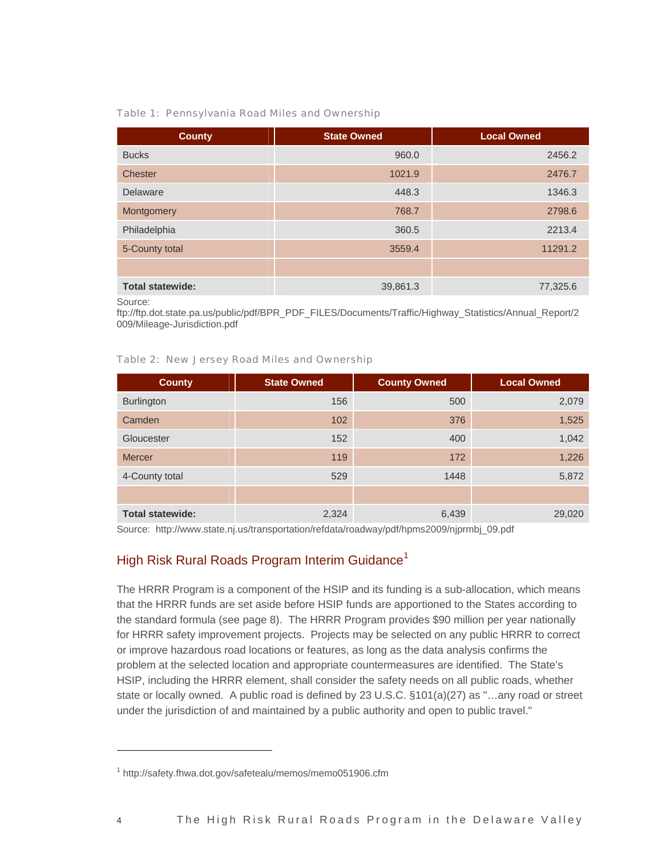#### Table 1: Pennsylvania Road Miles and Ownership

| <b>County</b>           | <b>State Owned</b> | <b>Local Owned</b> |
|-------------------------|--------------------|--------------------|
| <b>Bucks</b>            | 960.0              | 2456.2             |
| Chester                 | 1021.9             | 2476.7             |
| Delaware                | 448.3              | 1346.3             |
| Montgomery              | 768.7              | 2798.6             |
| Philadelphia            | 360.5              | 2213.4             |
| 5-County total          | 3559.4             | 11291.2            |
|                         |                    |                    |
| <b>Total statewide:</b> | 39,861.3           | 77,325.6           |

Source:

ftp://ftp.dot.state.pa.us/public/pdf/BPR\_PDF\_FILES/Documents/Traffic/Highway\_Statistics/Annual\_Report/2 009/Mileage-Jurisdiction.pdf

Table 2: New Jersey Road Miles and Ownership

| <b>County</b>           | <b>State Owned</b> | <b>County Owned</b> | <b>Local Owned</b> |
|-------------------------|--------------------|---------------------|--------------------|
| <b>Burlington</b>       | 156                | 500                 | 2,079              |
| Camden                  | 102                | 376                 | 1,525              |
| Gloucester              | 152                | 400                 | 1,042              |
| <b>Mercer</b>           | 119                | 172                 | 1,226              |
| 4-County total          | 529                | 1448                | 5,872              |
|                         |                    |                     |                    |
| <b>Total statewide:</b> | 2,324              | 6,439               | 29,020             |

Source: http://www.state.nj.us/transportation/refdata/roadway/pdf/hpms2009/njprmbj\_09.pdf

#### High Risk Rural Roads Program Interim Guidance<sup>1</sup>

The HRRR Program is a component of the HSIP and its funding is a sub-allocation, which means that the HRRR funds are set aside before HSIP funds are apportioned to the States according to the standard formula (see page 8). The HRRR Program provides \$90 million per year nationally for HRRR safety improvement projects. Projects may be selected on any public HRRR to correct or improve hazardous road locations or features, as long as the data analysis confirms the problem at the selected location and appropriate countermeasures are identified. The State's HSIP, including the HRRR element, shall consider the safety needs on all public roads, whether state or locally owned. A public road is defined by 23 U.S.C. §101(a)(27) as "…any road or street under the jurisdiction of and maintained by a public authority and open to public travel."

l

<sup>&</sup>lt;sup>1</sup> http://safety.fhwa.dot.gov/safetealu/memos/memo051906.cfm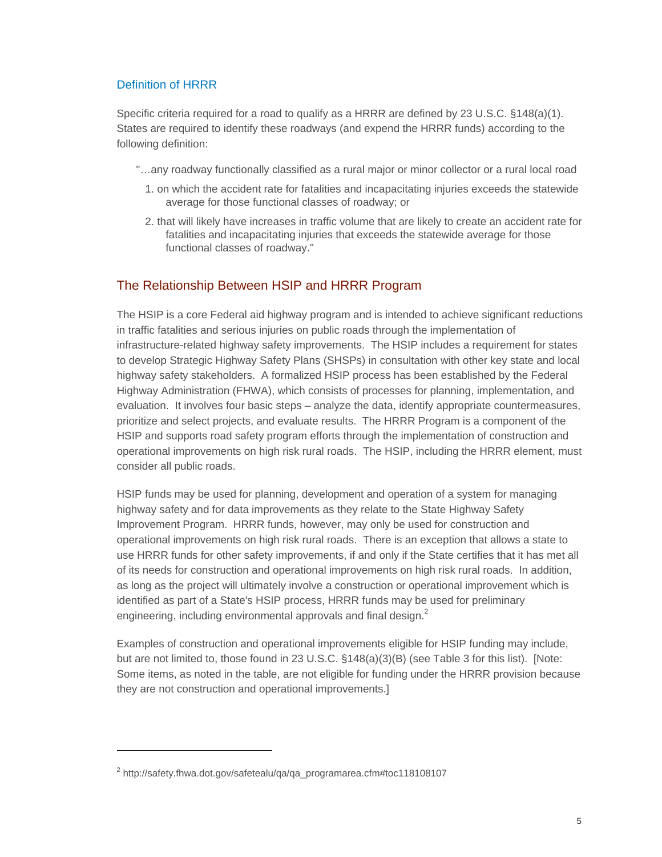#### Definition of HRRR

Specific criteria required for a road to qualify as a HRRR are defined by 23 U.S.C. §148(a)(1). States are required to identify these roadways (and expend the HRRR funds) according to the following definition:

- "…any roadway functionally classified as a rural major or minor collector or a rural local road
	- 1. on which the accident rate for fatalities and incapacitating injuries exceeds the statewide average for those functional classes of roadway; or
	- 2. that will likely have increases in traffic volume that are likely to create an accident rate for fatalities and incapacitating injuries that exceeds the statewide average for those functional classes of roadway."

#### The Relationship Between HSIP and HRRR Program

The HSIP is a core Federal aid highway program and is intended to achieve significant reductions in traffic fatalities and serious injuries on public roads through the implementation of infrastructure-related highway safety improvements. The HSIP includes a requirement for states to develop Strategic Highway Safety Plans (SHSPs) in consultation with other key state and local highway safety stakeholders. A formalized HSIP process has been established by the Federal Highway Administration (FHWA), which consists of processes for planning, implementation, and evaluation. It involves four basic steps – analyze the data, identify appropriate countermeasures, prioritize and select projects, and evaluate results. The HRRR Program is a component of the HSIP and supports road safety program efforts through the implementation of construction and operational improvements on high risk rural roads. The HSIP, including the HRRR element, must consider all public roads.

HSIP funds may be used for planning, development and operation of a system for managing highway safety and for data improvements as they relate to the State Highway Safety Improvement Program. HRRR funds, however, may only be used for construction and operational improvements on high risk rural roads. There is an exception that allows a state to use HRRR funds for other safety improvements, if and only if the State certifies that it has met all of its needs for construction and operational improvements on high risk rural roads. In addition, as long as the project will ultimately involve a construction or operational improvement which is identified as part of a State's HSIP process, HRRR funds may be used for preliminary engineering, including environmental approvals and final design.<sup>2</sup>

Examples of construction and operational improvements eligible for HSIP funding may include, but are not limited to, those found in 23 U.S.C. §148(a)(3)(B) (see Table 3 for this list). [Note: Some items, as noted in the table, are not eligible for funding under the HRRR provision because they are not construction and operational improvements.]

-

<sup>&</sup>lt;sup>2</sup> http://safety.fhwa.dot.gov/safetealu/qa/qa\_programarea.cfm#toc118108107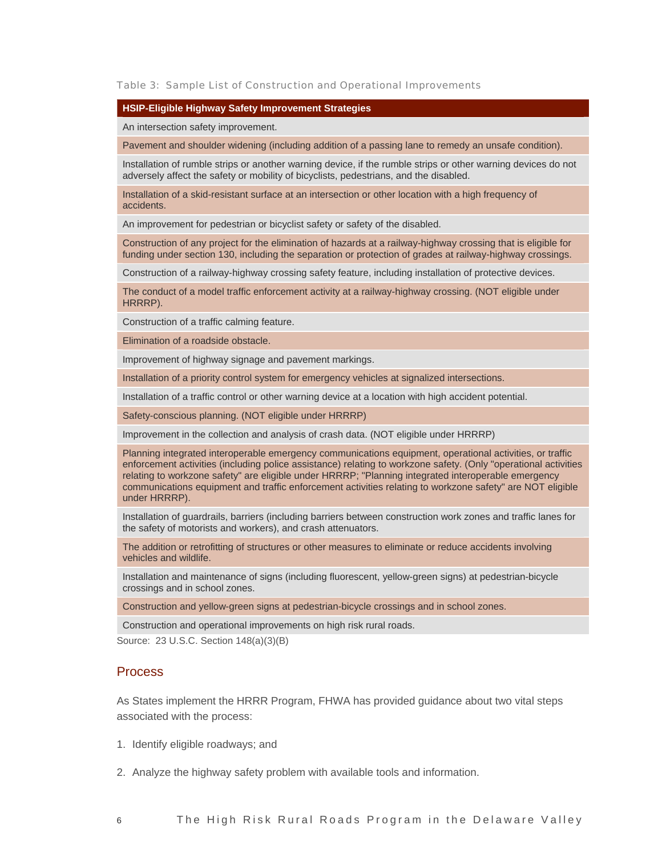Table 3: Sample List of Construction and Operational Improvements

#### **HSIP-Eligible Highway Safety Improvement Strategies**

An intersection safety improvement.

Pavement and shoulder widening (including addition of a passing lane to remedy an unsafe condition).

Installation of rumble strips or another warning device, if the rumble strips or other warning devices do not adversely affect the safety or mobility of bicyclists, pedestrians, and the disabled.

Installation of a skid-resistant surface at an intersection or other location with a high frequency of accidents.

An improvement for pedestrian or bicyclist safety or safety of the disabled.

Construction of any project for the elimination of hazards at a railway-highway crossing that is eligible for funding under section 130, including the separation or protection of grades at railway-highway crossings.

Construction of a railway-highway crossing safety feature, including installation of protective devices.

The conduct of a model traffic enforcement activity at a railway-highway crossing. (NOT eligible under HRRRP).

Construction of a traffic calming feature.

Elimination of a roadside obstacle.

Improvement of highway signage and pavement markings.

Installation of a priority control system for emergency vehicles at signalized intersections.

Installation of a traffic control or other warning device at a location with high accident potential.

Safety-conscious planning. (NOT eligible under HRRRP)

Improvement in the collection and analysis of crash data. (NOT eligible under HRRRP)

Planning integrated interoperable emergency communications equipment, operational activities, or traffic enforcement activities (including police assistance) relating to workzone safety. (Only "operational activities relating to workzone safety" are eligible under HRRRP; "Planning integrated interoperable emergency communications equipment and traffic enforcement activities relating to workzone safety" are NOT eligible under HRRRP).

Installation of guardrails, barriers (including barriers between construction work zones and traffic lanes for the safety of motorists and workers), and crash attenuators.

The addition or retrofitting of structures or other measures to eliminate or reduce accidents involving vehicles and wildlife.

Installation and maintenance of signs (including fluorescent, yellow-green signs) at pedestrian-bicycle crossings and in school zones.

Construction and yellow-green signs at pedestrian-bicycle crossings and in school zones.

Construction and operational improvements on high risk rural roads.

Source: 23 U.S.C. Section 148(a)(3)(B)

#### Process

As States implement the HRRR Program, FHWA has provided guidance about two vital steps associated with the process:

- 1. Identify eligible roadways; and
- 2. Analyze the highway safety problem with available tools and information.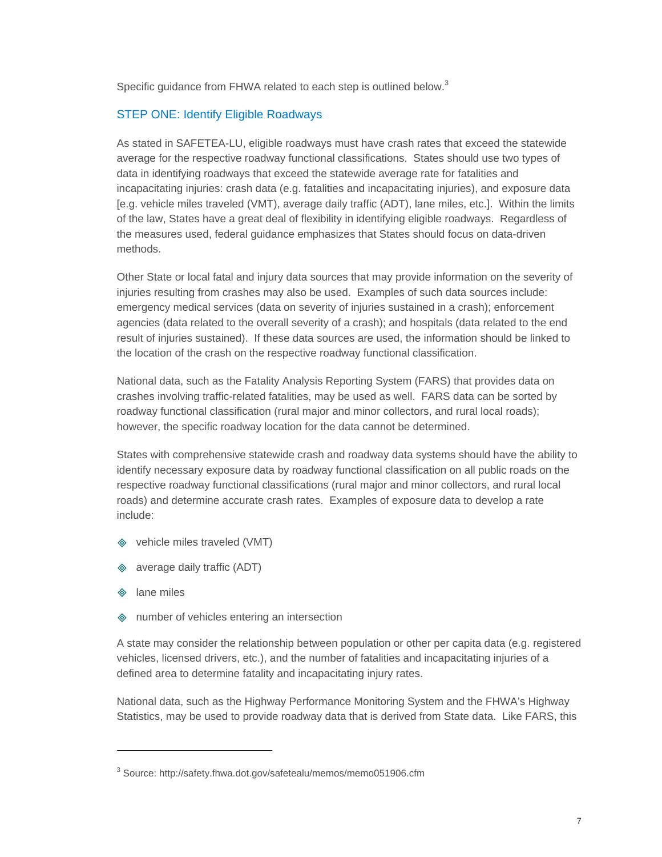Specific guidance from FHWA related to each step is outlined below.<sup>3</sup>

#### STEP ONE: Identify Eligible Roadways

As stated in SAFETEA-LU, eligible roadways must have crash rates that exceed the statewide average for the respective roadway functional classifications. States should use two types of data in identifying roadways that exceed the statewide average rate for fatalities and incapacitating injuries: crash data (e.g. fatalities and incapacitating injuries), and exposure data [e.g. vehicle miles traveled (VMT), average daily traffic (ADT), lane miles, etc.]. Within the limits of the law, States have a great deal of flexibility in identifying eligible roadways. Regardless of the measures used, federal guidance emphasizes that States should focus on data-driven methods.

Other State or local fatal and injury data sources that may provide information on the severity of injuries resulting from crashes may also be used. Examples of such data sources include: emergency medical services (data on severity of injuries sustained in a crash); enforcement agencies (data related to the overall severity of a crash); and hospitals (data related to the end result of injuries sustained). If these data sources are used, the information should be linked to the location of the crash on the respective roadway functional classification.

National data, such as the Fatality Analysis Reporting System (FARS) that provides data on crashes involving traffic-related fatalities, may be used as well. FARS data can be sorted by roadway functional classification (rural major and minor collectors, and rural local roads); however, the specific roadway location for the data cannot be determined.

States with comprehensive statewide crash and roadway data systems should have the ability to identify necessary exposure data by roadway functional classification on all public roads on the respective roadway functional classifications (rural major and minor collectors, and rural local roads) and determine accurate crash rates. Examples of exposure data to develop a rate include:

- vehicle miles traveled (VMT)
- average daily traffic (ADT)
- lane miles

l

number of vehicles entering an intersection

A state may consider the relationship between population or other per capita data (e.g. registered vehicles, licensed drivers, etc.), and the number of fatalities and incapacitating injuries of a defined area to determine fatality and incapacitating injury rates.

National data, such as the Highway Performance Monitoring System and the FHWA's Highway Statistics, may be used to provide roadway data that is derived from State data. Like FARS, this

<sup>&</sup>lt;sup>3</sup> Source: http://safety.fhwa.dot.gov/safetealu/memos/memo051906.cfm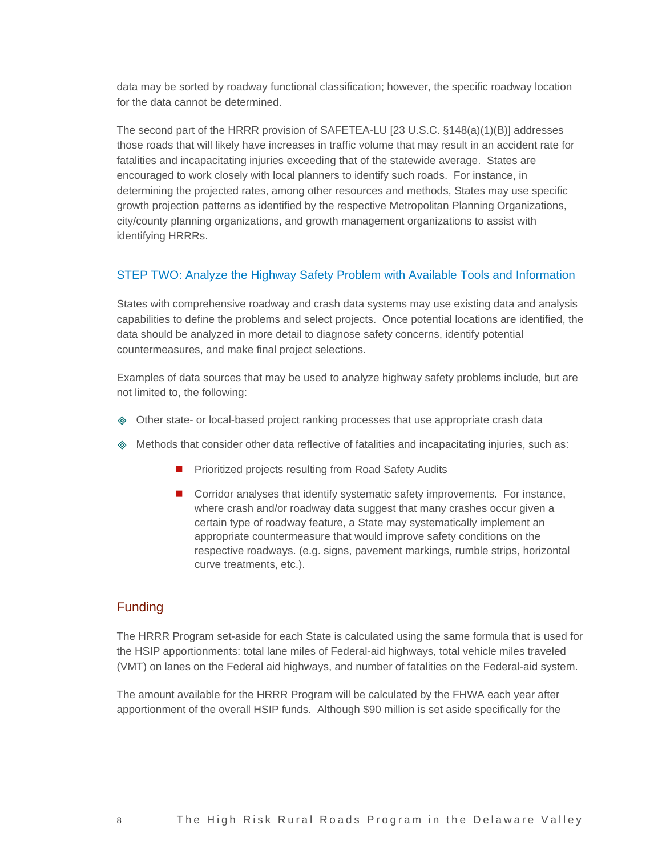data may be sorted by roadway functional classification; however, the specific roadway location for the data cannot be determined.

The second part of the HRRR provision of SAFETEA-LU [23 U.S.C. §148(a)(1)(B)] addresses those roads that will likely have increases in traffic volume that may result in an accident rate for fatalities and incapacitating injuries exceeding that of the statewide average. States are encouraged to work closely with local planners to identify such roads. For instance, in determining the projected rates, among other resources and methods, States may use specific growth projection patterns as identified by the respective Metropolitan Planning Organizations, city/county planning organizations, and growth management organizations to assist with identifying HRRRs.

#### STEP TWO: Analyze the Highway Safety Problem with Available Tools and Information

States with comprehensive roadway and crash data systems may use existing data and analysis capabilities to define the problems and select projects. Once potential locations are identified, the data should be analyzed in more detail to diagnose safety concerns, identify potential countermeasures, and make final project selections.

Examples of data sources that may be used to analyze highway safety problems include, but are not limited to, the following:

- Other state- or local-based project ranking processes that use appropriate crash data
- Methods that consider other data reflective of fatalities and incapacitating injuries, such as:
	- **Prioritized projects resulting from Road Safety Audits**
	- **Corridor analyses that identify systematic safety improvements. For instance,** where crash and/or roadway data suggest that many crashes occur given a certain type of roadway feature, a State may systematically implement an appropriate countermeasure that would improve safety conditions on the respective roadways. (e.g. signs, pavement markings, rumble strips, horizontal curve treatments, etc.).

#### **Funding**

The HRRR Program set-aside for each State is calculated using the same formula that is used for the HSIP apportionments: total lane miles of Federal-aid highways, total vehicle miles traveled (VMT) on lanes on the Federal aid highways, and number of fatalities on the Federal-aid system.

The amount available for the HRRR Program will be calculated by the FHWA each year after apportionment of the overall HSIP funds. Although \$90 million is set aside specifically for the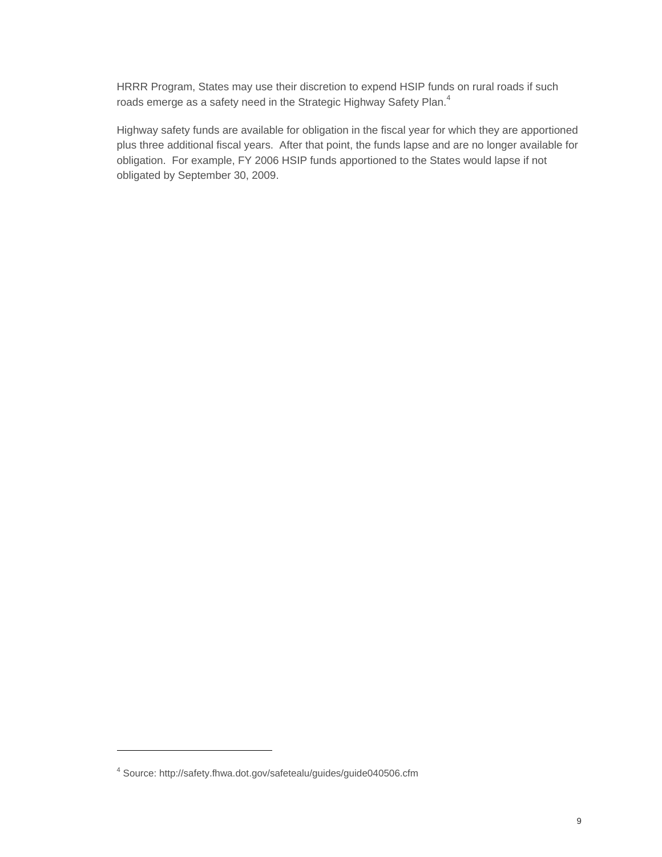HRRR Program, States may use their discretion to expend HSIP funds on rural roads if such roads emerge as a safety need in the Strategic Highway Safety Plan.<sup>4</sup>

Highway safety funds are available for obligation in the fiscal year for which they are apportioned plus three additional fiscal years. After that point, the funds lapse and are no longer available for obligation. For example, FY 2006 HSIP funds apportioned to the States would lapse if not obligated by September 30, 2009.

-

<sup>4</sup> Source: http://safety.fhwa.dot.gov/safetealu/guides/guide040506.cfm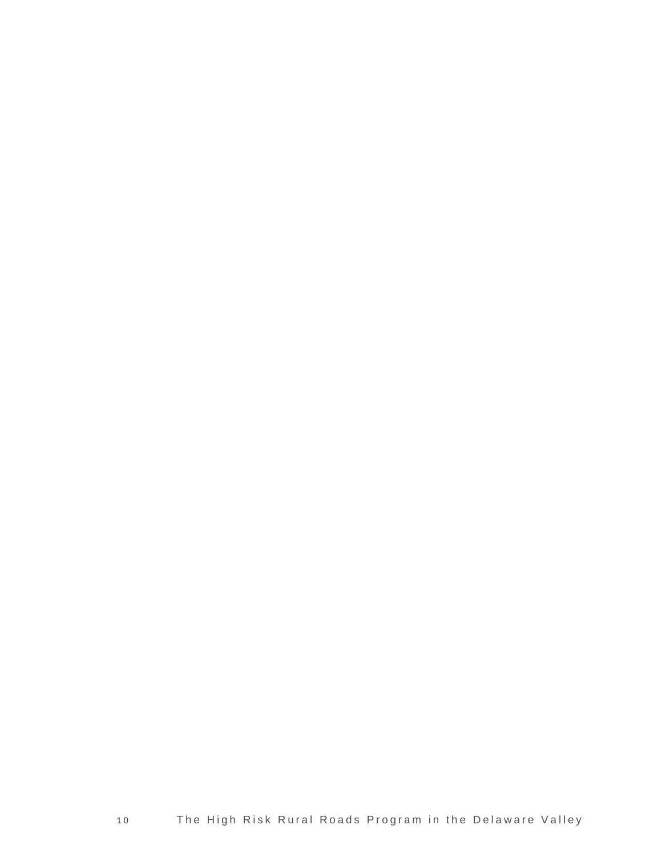10 The High Risk Rural Roads Program in the Delaware Valley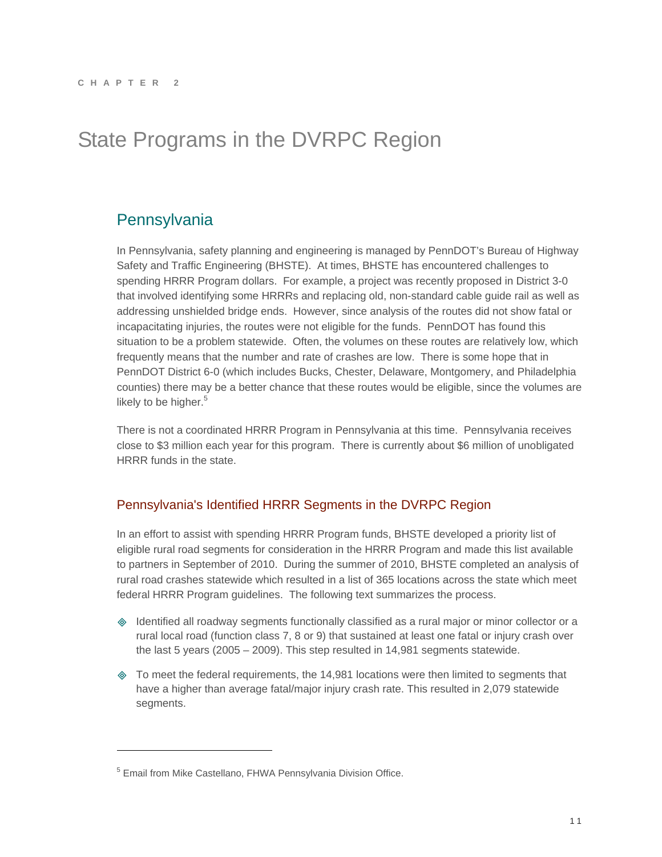l

## State Programs in the DVRPC Region

### **Pennsylvania**

In Pennsylvania, safety planning and engineering is managed by PennDOT's Bureau of Highway Safety and Traffic Engineering (BHSTE). At times, BHSTE has encountered challenges to spending HRRR Program dollars. For example, a project was recently proposed in District 3-0 that involved identifying some HRRRs and replacing old, non-standard cable guide rail as well as addressing unshielded bridge ends. However, since analysis of the routes did not show fatal or incapacitating injuries, the routes were not eligible for the funds. PennDOT has found this situation to be a problem statewide. Often, the volumes on these routes are relatively low, which frequently means that the number and rate of crashes are low. There is some hope that in PennDOT District 6-0 (which includes Bucks, Chester, Delaware, Montgomery, and Philadelphia counties) there may be a better chance that these routes would be eligible, since the volumes are likely to be higher. $5$ 

There is not a coordinated HRRR Program in Pennsylvania at this time. Pennsylvania receives close to \$3 million each year for this program. There is currently about \$6 million of unobligated HRRR funds in the state.

#### Pennsylvania's Identified HRRR Segments in the DVRPC Region

In an effort to assist with spending HRRR Program funds, BHSTE developed a priority list of eligible rural road segments for consideration in the HRRR Program and made this list available to partners in September of 2010. During the summer of 2010, BHSTE completed an analysis of rural road crashes statewide which resulted in a list of 365 locations across the state which meet federal HRRR Program guidelines. The following text summarizes the process.

- Identified all roadway segments functionally classified as a rural major or minor collector or a rural local road (function class 7, 8 or 9) that sustained at least one fatal or injury crash over the last 5 years (2005 – 2009). This step resulted in 14,981 segments statewide.
- To meet the federal requirements, the 14,981 locations were then limited to segments that have a higher than average fatal/major injury crash rate. This resulted in 2,079 statewide segments.

<sup>&</sup>lt;sup>5</sup> Email from Mike Castellano, FHWA Pennsylvania Division Office.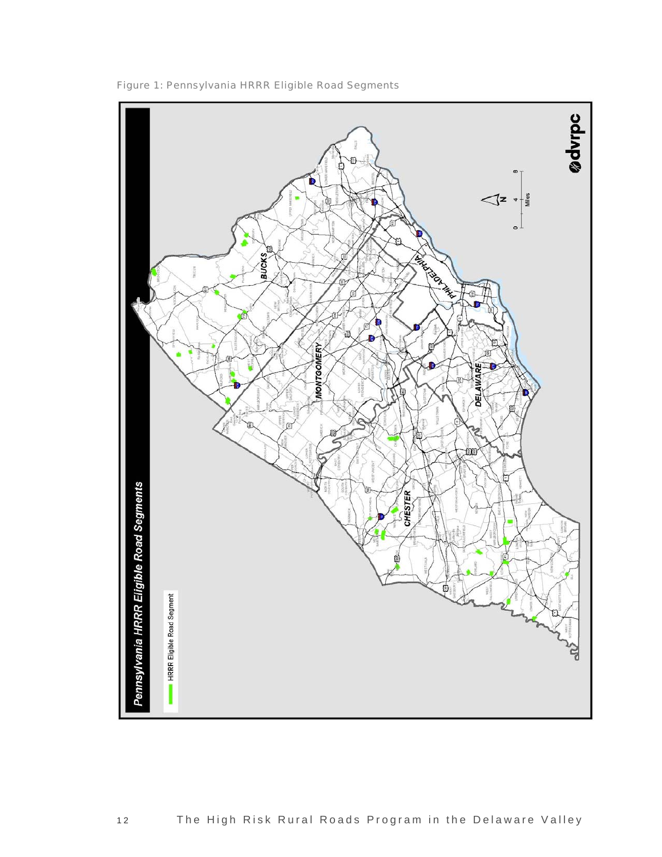

Figure 1: Pennsylvania HRRR Eligible Road Segments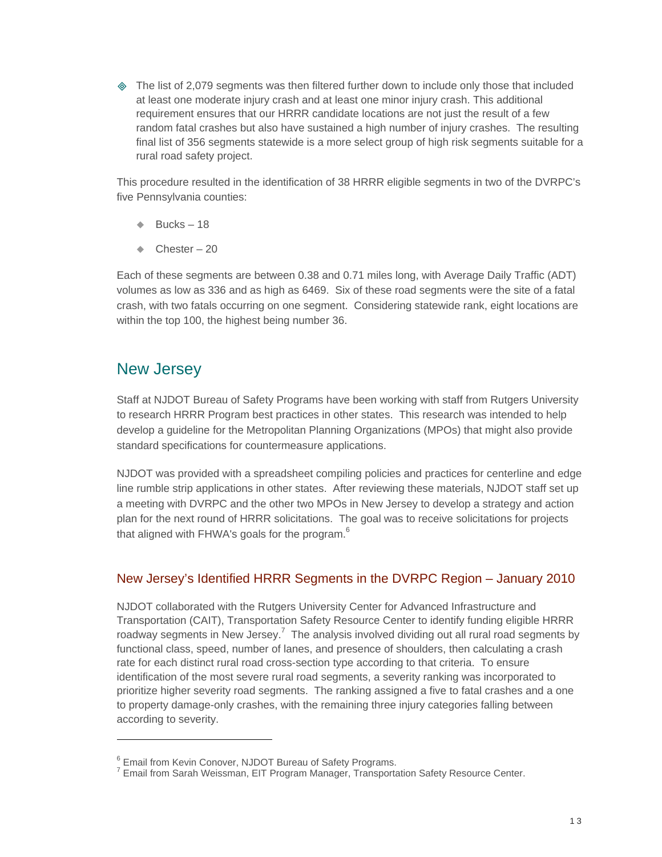The list of 2,079 segments was then filtered further down to include only those that included at least one moderate injury crash and at least one minor injury crash. This additional requirement ensures that our HRRR candidate locations are not just the result of a few random fatal crashes but also have sustained a high number of injury crashes. The resulting final list of 356 segments statewide is a more select group of high risk segments suitable for a rural road safety project.

This procedure resulted in the identification of 38 HRRR eligible segments in two of the DVRPC's five Pennsylvania counties:

- $\triangle$  Bucks 18
- $\triangle$  Chester 20

Each of these segments are between 0.38 and 0.71 miles long, with Average Daily Traffic (ADT) volumes as low as 336 and as high as 6469. Six of these road segments were the site of a fatal crash, with two fatals occurring on one segment. Considering statewide rank, eight locations are within the top 100, the highest being number 36.

### New Jersey

-

Staff at NJDOT Bureau of Safety Programs have been working with staff from Rutgers University to research HRRR Program best practices in other states. This research was intended to help develop a guideline for the Metropolitan Planning Organizations (MPOs) that might also provide standard specifications for countermeasure applications.

NJDOT was provided with a spreadsheet compiling policies and practices for centerline and edge line rumble strip applications in other states. After reviewing these materials, NJDOT staff set up a meeting with DVRPC and the other two MPOs in New Jersey to develop a strategy and action plan for the next round of HRRR solicitations. The goal was to receive solicitations for projects that aligned with FHWA's goals for the program. $<sup>6</sup>$ </sup>

#### New Jersey's Identified HRRR Segments in the DVRPC Region – January 2010

NJDOT collaborated with the Rutgers University Center for Advanced Infrastructure and Transportation (CAIT), Transportation Safety Resource Center to identify funding eligible HRRR roadway segments in New Jersey.<sup>7</sup> The analysis involved dividing out all rural road segments by functional class, speed, number of lanes, and presence of shoulders, then calculating a crash rate for each distinct rural road cross-section type according to that criteria. To ensure identification of the most severe rural road segments, a severity ranking was incorporated to prioritize higher severity road segments. The ranking assigned a five to fatal crashes and a one to property damage-only crashes, with the remaining three injury categories falling between according to severity.

<sup>&</sup>lt;sup>6</sup> Email from Kevin Conover, NJDOT Bureau of Safety Programs.

<sup>&</sup>lt;sup>7</sup> Email from Sarah Weissman, EIT Program Manager, Transportation Safety Resource Center.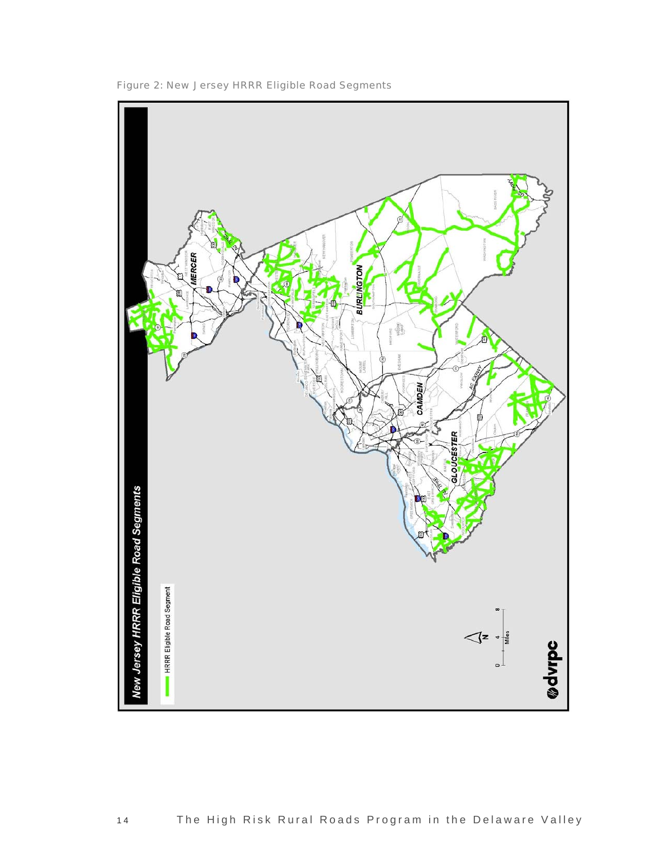

Figure 2: New Jersey HRRR Eligible Road Segments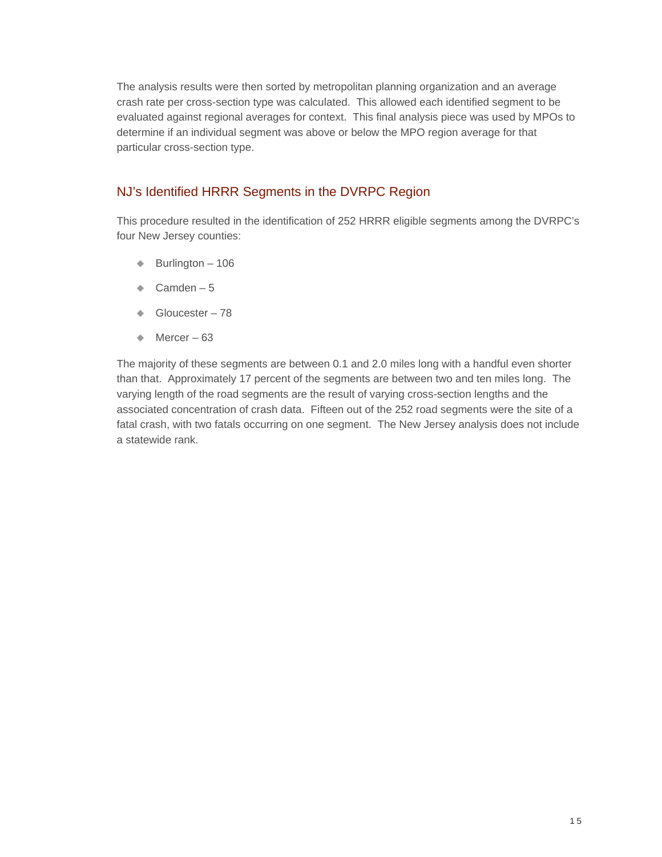The analysis results were then sorted by metropolitan planning organization and an average crash rate per cross-section type was calculated. This allowed each identified segment to be evaluated against regional averages for context. This final analysis piece was used by MPOs to determine if an individual segment was above or below the MPO region average for that particular cross-section type.

#### NJ's Identified HRRR Segments in the DVRPC Region

This procedure resulted in the identification of 252 HRRR eligible segments among the DVRPC's four New Jersey counties:

- $\triangleleft$  Burlington 106
- $\leftarrow$  Camden 5
- $\triangle$  Gloucester 78
- $\triangle$  Mercer 63

The majority of these segments are between 0.1 and 2.0 miles long with a handful even shorter than that. Approximately 17 percent of the segments are between two and ten miles long. The varying length of the road segments are the result of varying cross-section lengths and the associated concentration of crash data. Fifteen out of the 252 road segments were the site of a fatal crash, with two fatals occurring on one segment. The New Jersey analysis does not include a statewide rank.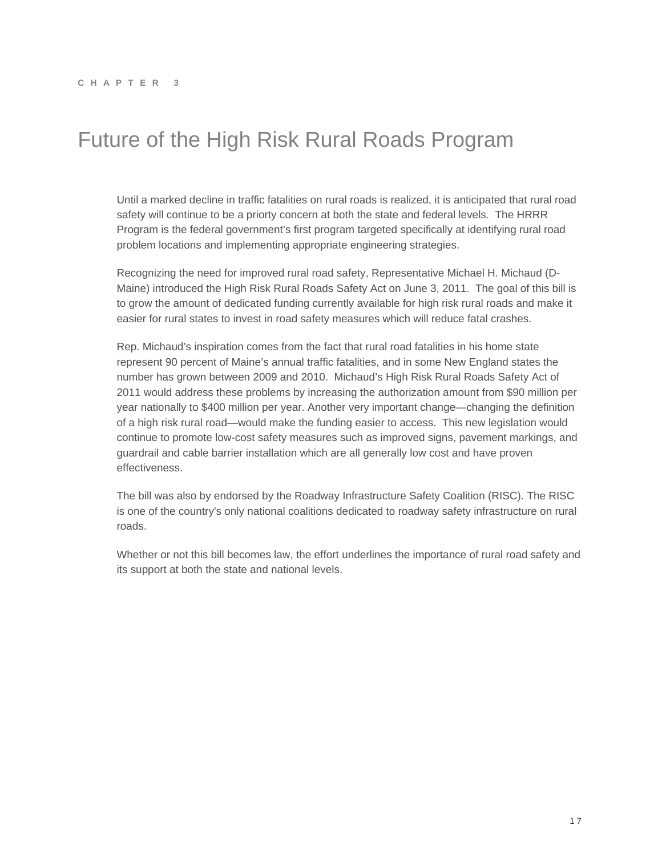## Future of the High Risk Rural Roads Program

Until a marked decline in traffic fatalities on rural roads is realized, it is anticipated that rural road safety will continue to be a priorty concern at both the state and federal levels. The HRRR Program is the federal government's first program targeted specifically at identifying rural road problem locations and implementing appropriate engineering strategies.

Recognizing the need for improved rural road safety, Representative Michael H. Michaud (D-Maine) introduced the High Risk Rural Roads Safety Act on June 3, 2011. The goal of this bill is to grow the amount of dedicated funding currently available for high risk rural roads and make it easier for rural states to invest in road safety measures which will reduce fatal crashes.

Rep. Michaud's inspiration comes from the fact that rural road fatalities in his home state represent 90 percent of Maine's annual traffic fatalities, and in some New England states the number has grown between 2009 and 2010. Michaud's High Risk Rural Roads Safety Act of 2011 would address these problems by increasing the authorization amount from \$90 million per year nationally to \$400 million per year. Another very important change—changing the definition of a high risk rural road—would make the funding easier to access. This new legislation would continue to promote low-cost safety measures such as improved signs, pavement markings, and guardrail and cable barrier installation which are all generally low cost and have proven effectiveness.

The bill was also by endorsed by the Roadway Infrastructure Safety Coalition (RISC). The RISC is one of the country's only national coalitions dedicated to roadway safety infrastructure on rural roads.

Whether or not this bill becomes law, the effort underlines the importance of rural road safety and its support at both the state and national levels.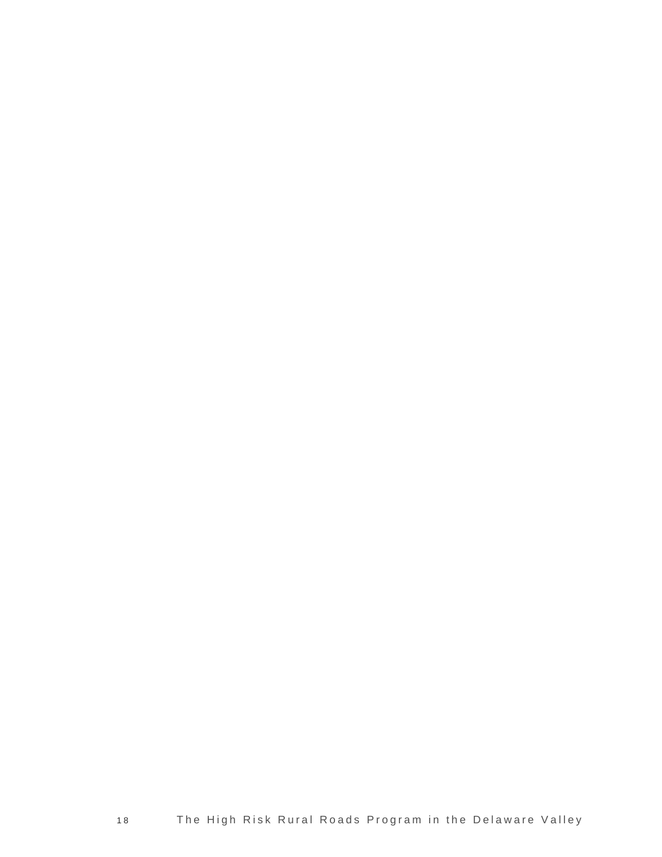18 The High Risk Rural Roads Program in the Delaware Valley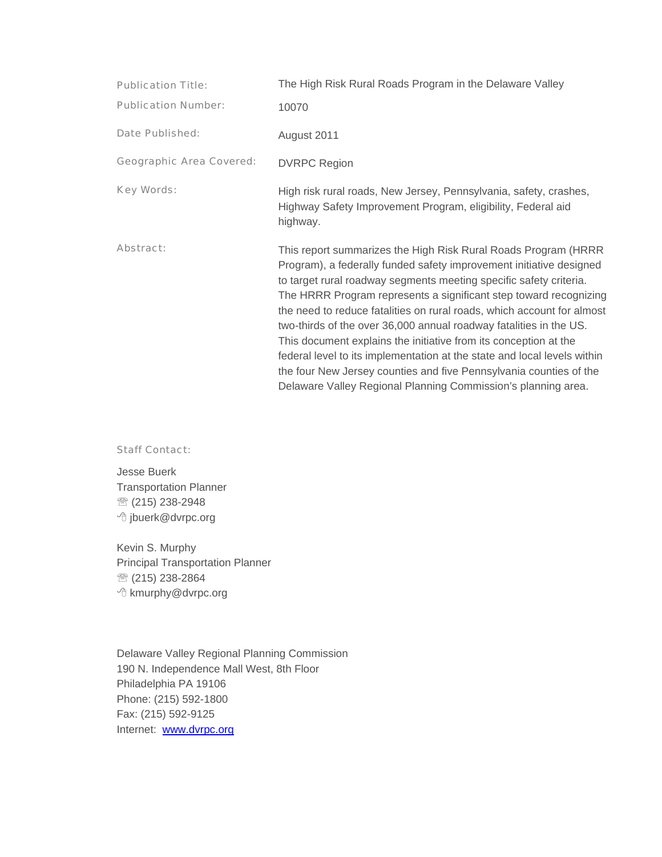| <b>Publication Title:</b>       | The High Risk Rural Roads Program in the Delaware Valley                                                                                                                                                                                                                                                                                                                                                                                                                                                                                                                                                                                                                                                                 |
|---------------------------------|--------------------------------------------------------------------------------------------------------------------------------------------------------------------------------------------------------------------------------------------------------------------------------------------------------------------------------------------------------------------------------------------------------------------------------------------------------------------------------------------------------------------------------------------------------------------------------------------------------------------------------------------------------------------------------------------------------------------------|
| <b>Publication Number:</b>      | 10070                                                                                                                                                                                                                                                                                                                                                                                                                                                                                                                                                                                                                                                                                                                    |
| Date Published:                 | August 2011                                                                                                                                                                                                                                                                                                                                                                                                                                                                                                                                                                                                                                                                                                              |
| <b>Geographic Area Covered:</b> | <b>DVRPC Region</b>                                                                                                                                                                                                                                                                                                                                                                                                                                                                                                                                                                                                                                                                                                      |
| <b>Key Words:</b>               | High risk rural roads, New Jersey, Pennsylvania, safety, crashes,<br>Highway Safety Improvement Program, eligibility, Federal aid<br>highway.                                                                                                                                                                                                                                                                                                                                                                                                                                                                                                                                                                            |
| Abstract:                       | This report summarizes the High Risk Rural Roads Program (HRRR)<br>Program), a federally funded safety improvement initiative designed<br>to target rural roadway segments meeting specific safety criteria.<br>The HRRR Program represents a significant step toward recognizing<br>the need to reduce fatalities on rural roads, which account for almost<br>two-thirds of the over 36,000 annual roadway fatalities in the US.<br>This document explains the initiative from its conception at the<br>federal level to its implementation at the state and local levels within<br>the four New Jersey counties and five Pennsylvania counties of the<br>Delaware Valley Regional Planning Commission's planning area. |

Staff Contact:

Jesse Buerk Transportation Planner (215) 238-2948 <sup></sub><sup>d</sup> jbuerk@dvrpc.org</sup>

Kevin S. Murphy Principal Transportation Planner (215) 238-2864 <sup></sub><sup>O</sup> kmurphy@dvrpc.org</sup>

Delaware Valley Regional Planning Commission 190 N. Independence Mall West, 8th Floor Philadelphia PA 19106 Phone: (215) 592-1800 Fax: (215) 592-9125 Internet: www.dvrpc.org